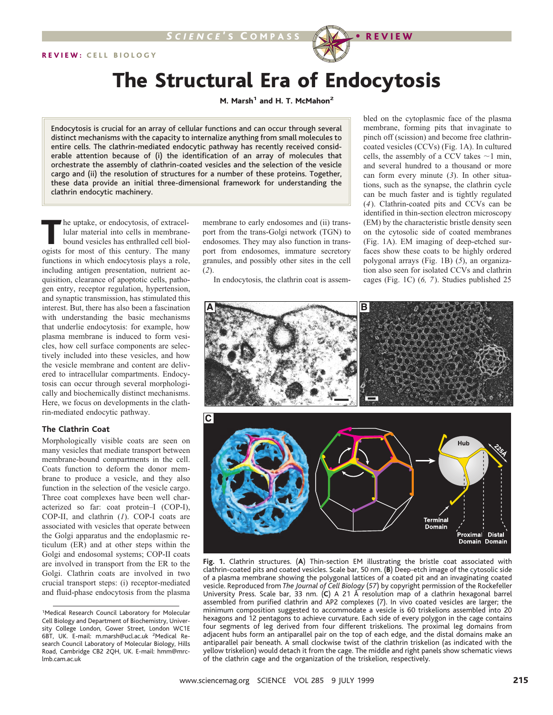

# The Structural Era of Endocytosis

M. Marsh<sup>1</sup> and H. T. McMahon<sup>2</sup>

Endocytosis is crucial for an array of cellular functions and can occur through several distinct mechanisms with the capacity to internalize anything from small molecules to entire cells. The clathrin-mediated endocytic pathway has recently received considerable attention because of (i) the identification of an array of molecules that orchestrate the assembly of clathrin-coated vesicles and the selection of the vesicle cargo and (ii) the resolution of structures for a number of these proteins. Together, these data provide an initial three-dimensional framework for understanding the clathrin endocytic machinery.

The uptake, or endocytosis, of extracellular material into cells in membranebound vesicles has enthralled cell biologists for most of this century. The many functions in which endocytosis plays a role, including antigen presentation, nutrient acquisition, clearance of apoptotic cells, pathogen entry, receptor regulation, hypertension, and synaptic transmission, has stimulated this interest. But, there has also been a fascination with understanding the basic mechanisms that underlie endocytosis: for example, how plasma membrane is induced to form vesicles, how cell surface components are selectively included into these vesicles, and how the vesicle membrane and content are delivered to intracellular compartments. Endocytosis can occur through several morphologically and biochemically distinct mechanisms. Here, we focus on developments in the clathrin-mediated endocytic pathway.

#### **The Clathrin Coat**

Morphologically visible coats are seen on many vesicles that mediate transport between membrane-bound compartments in the cell. Coats function to deform the donor membrane to produce a vesicle, and they also function in the selection of the vesicle cargo. Three coat complexes have been well characterized so far: coat protein–I (COP-I), COP-II, and clathrin (*1*). COP-I coats are associated with vesicles that operate between the Golgi apparatus and the endoplasmic reticulum (ER) and at other steps within the Golgi and endosomal systems; COP-II coats are involved in transport from the ER to the Golgi. Clathrin coats are involved in two crucial transport steps: (i) receptor-mediated and fluid-phase endocytosis from the plasma

membrane to early endosomes and (ii) transport from the trans-Golgi network (TGN) to endosomes. They may also function in transport from endosomes, immature secretory granules, and possibly other sites in the cell (*2*).

In endocytosis, the clathrin coat is assem-

bled on the cytoplasmic face of the plasma membrane, forming pits that invaginate to pinch off (scission) and become free clathrincoated vesicles (CCVs) (Fig. 1A). In cultured cells, the assembly of a CCV takes  $\sim$ 1 min, and several hundred to a thousand or more can form every minute (*3*). In other situations, such as the synapse, the clathrin cycle can be much faster and is tightly regulated (*4*). Clathrin-coated pits and CCVs can be identified in thin-section electron microscopy (EM) by the characteristic bristle density seen on the cytosolic side of coated membranes (Fig. 1A). EM imaging of deep-etched surfaces show these coats to be highly ordered polygonal arrays (Fig. 1B) (*5*), an organization also seen for isolated CCVs and clathrin cages (Fig. 1C) (*6, 7*). Studies published 25



**Fig. 1.** Clathrin structures. (**A**) Thin-section EM illustrating the bristle coat associated with clathrin-coated pits and coated vesicles. Scale bar, 50 nm. (**B**) Deep-etch image of the cytosolic side of a plasma membrane showing the polygonal lattices of a coated pit and an invaginating coated vesicle. Reproduced from *The Journal of Cell Biology* (*57*) by copyright permission of the Rockefeller University Press. Scale bar, 33 nm. (**C**) A 21 Å resolution map of a clathrin hexagonal barrel assembled from purified clathrin and AP2 complexes (*7*). In vivo coated vesicles are larger; the minimum composition suggested to accommodate a vesicle is 60 triskelions assembled into 20 hexagons and 12 pentagons to achieve curvature. Each side of every polygon in the cage contains four segments of leg derived from four different triskelions. The proximal leg domains from adjacent hubs form an antiparallel pair on the top of each edge, and the distal domains make an antiparallel pair beneath. A small clockwise twist of the clathrin triskelion (as indicated with the yellow triskelion) would detach it from the cage. The middle and right panels show schematic views of the clathrin cage and the organization of the triskelion, respectively.

<sup>&</sup>lt;sup>1</sup>Medical Research Council Laboratory for Molecular Cell Biology and Department of Biochemistry, University College London, Gower Street, London WC1E 6BT, UK. E-mail: m.marsh@ucl.ac.uk <sup>2</sup>Medical Research Council Laboratory of Molecular Biology, Hills Road, Cambridge CB2 2QH, UK. E-mail: hmm@mrclmb.cam.ac.uk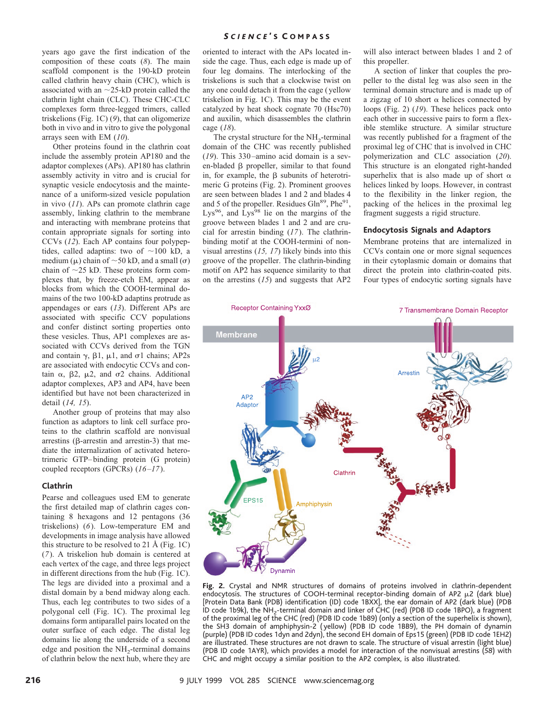# *S CIENCE* ' S C OMPASS

years ago gave the first indication of the composition of these coats (*8*). The main scaffold component is the 190-kD protein called clathrin heavy chain (CHC), which is associated with an  $\sim$ 25-kD protein called the clathrin light chain (CLC). These CHC-CLC complexes form three-legged trimers, called triskelions (Fig. 1C) (*9*), that can oligomerize both in vivo and in vitro to give the polygonal arrays seen with EM (*10*).

Other proteins found in the clathrin coat include the assembly protein AP180 and the adaptor complexes (APs). AP180 has clathrin assembly activity in vitro and is crucial for synaptic vesicle endocytosis and the maintenance of a uniform-sized vesicle population in vivo (*11*). APs can promote clathrin cage assembly, linking clathrin to the membrane and interacting with membrane proteins that contain appropriate signals for sorting into CCVs (*12*). Each AP contains four polypeptides, called adaptins: two of  $\sim$ 100 kD, a medium ( $\mu$ ) chain of  $\sim$  50 kD, and a small ( $\sigma$ ) chain of  $\sim$ 25 kD. These proteins form complexes that, by freeze-etch EM, appear as blocks from which the COOH-terminal domains of the two 100-kD adaptins protrude as appendages or ears (*13*). Different APs are associated with specific CCV populations and confer distinct sorting properties onto these vesicles. Thus, AP1 complexes are associated with CCVs derived from the TGN and contain  $\gamma$ ,  $\beta$ 1,  $\mu$ 1, and  $\sigma$ 1 chains; AP2s are associated with endocytic CCVs and contain  $\alpha$ ,  $\beta$ 2,  $\mu$ 2, and  $\sigma$ 2 chains. Additional adaptor complexes, AP3 and AP4, have been identified but have not been characterized in detail (*14, 15*).

Another group of proteins that may also function as adaptors to link cell surface proteins to the clathrin scaffold are nonvisual arrestins ( $\beta$ -arrestin and arrestin-3) that mediate the internalization of activated heterotrimeric GTP–binding protein (G protein) coupled receptors (GPCRs) (*16–17*).

#### **Clathrin**

Pearse and colleagues used EM to generate the first detailed map of clathrin cages containing 8 hexagons and 12 pentagons (36 triskelions) (*6*). Low-temperature EM and developments in image analysis have allowed this structure to be resolved to 21 Å (Fig. 1C) (*7*). A triskelion hub domain is centered at each vertex of the cage, and three legs project in different directions from the hub (Fig. 1C). The legs are divided into a proximal and a distal domain by a bend midway along each. Thus, each leg contributes to two sides of a polygonal cell (Fig. 1C). The proximal leg domains form antiparallel pairs located on the outer surface of each edge. The distal leg domains lie along the underside of a second edge and position the  $NH<sub>2</sub>$ -terminal domains of clathrin below the next hub, where they are oriented to interact with the APs located inside the cage. Thus, each edge is made up of four leg domains. The interlocking of the triskelions is such that a clockwise twist on any one could detach it from the cage (yellow triskelion in Fig. 1C). This may be the event catalyzed by heat shock cognate 70 (Hsc70) and auxilin, which disassembles the clathrin cage (*18*).

The crystal structure for the  $NH<sub>2</sub>$ -terminal domain of the CHC was recently published (*19*). This 330–amino acid domain is a seven-bladed  $\beta$  propeller, similar to that found in, for example, the  $\beta$  subunits of heterotrimeric G proteins (Fig. 2). Prominent grooves are seen between blades 1 and 2 and blades 4 and 5 of the propeller. Residues Gln<sup>89</sup>, Phe<sup>91</sup>, Lys<sup>96</sup>, and Lys<sup>98</sup> lie on the margins of the groove between blades 1 and 2 and are crucial for arrestin binding (*17*). The clathrinbinding motif at the COOH-termini of nonvisual arrestins (*15, 17*) likely binds into this groove of the propeller. The clathrin-binding motif on AP2 has sequence similarity to that on the arrestins (*15*) and suggests that AP2 will also interact between blades 1 and 2 of this propeller.

A section of linker that couples the propeller to the distal leg was also seen in the terminal domain structure and is made up of a zigzag of 10 short  $\alpha$  helices connected by loops (Fig. 2) (*19*). These helices pack onto each other in successive pairs to form a flexible stemlike structure. A similar structure was recently published for a fragment of the proximal leg of CHC that is involved in CHC polymerization and CLC association (*20*). This structure is an elongated right-handed superhelix that is also made up of short  $\alpha$ helices linked by loops. However, in contrast to the flexibility in the linker region, the packing of the helices in the proximal leg fragment suggests a rigid structure.

#### **Endocytosis Signals and Adaptors**

Membrane proteins that are internalized in CCVs contain one or more signal sequences in their cytoplasmic domain or domains that direct the protein into clathrin-coated pits. Four types of endocytic sorting signals have



**Fig. 2.** Crystal and NMR structures of domains of proteins involved in clathrin-dependent endocytosis. The structures of COOH-terminal receptor-binding domain of AP2  $\mu$ 2 (dark blue) [Protein Data Bank (PDB) identification (ID) code 1BXX], the ear domain of AP2 (dark blue) (PDB ID code 1b9k), the NH2-terminal domain and linker of CHC (red) (PDB ID code 1BPO), a fragment of the proximal leg of the CHC (red) (PDB ID code 1b89) (only a section of the superhelix is shown), the SH3 domain of amphiphysin-2 ( yellow) (PDB ID code 1BB9), the PH domain of dynamin (purple) (PDB ID codes 1dyn and 2dyn), the second EH domain of Eps15 (green) (PDB ID code 1EH2) are illustrated. These structures are not drawn to scale. The structure of visual arrestin (light blue) (PDB ID code 1AYR), which provides a model for interaction of the nonvisual arrestins (*58*) with CHC and might occupy a similar position to the AP2 complex, is also illustrated.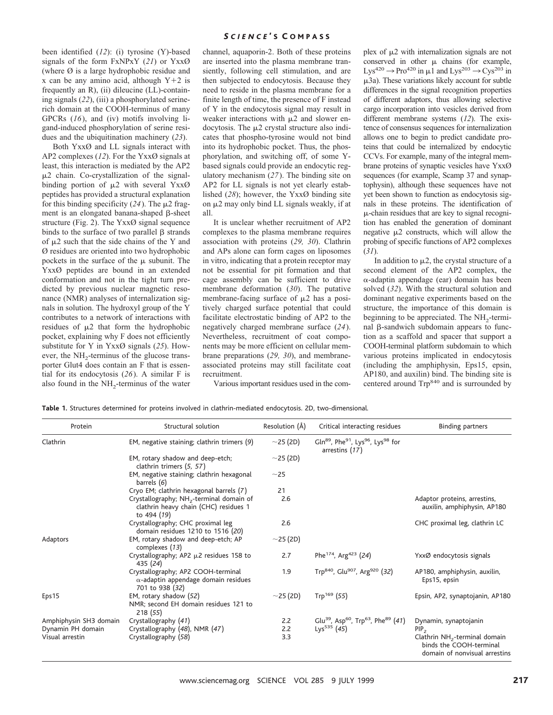been identified (*12*): (i) tyrosine (Y)-based signals of the form FxNPxY (*21*) or YxxØ (where Ø is a large hydrophobic residue and x can be any amino acid, although  $Y+2$  is frequently an R), (ii) dileucine (LL)-containing signals (*22*), (iii) a phosphorylated serinerich domain at the COOH-terminus of many GPCRs (*16*), and (iv) motifs involving ligand-induced phosphorylation of serine residues and the ubiquitination machinery (*23*).

Both YxxØ and LL signals interact with AP2 complexes (*12*). For the YxxØ signals at least, this interaction is mediated by the AP2  $\mu$ 2 chain. Co-crystallization of the signalbinding portion of  $\mu$ 2 with several YxxØ peptides has provided a structural explanation for this binding specificity  $(24)$ . The  $\mu$ 2 fragment is an elongated banana-shaped  $\beta$ -sheet structure (Fig. 2). The YxxØ signal sequence binds to the surface of two parallel  $\beta$  strands of  $\mu$ 2 such that the side chains of the Y and Ø residues are oriented into two hydrophobic pockets in the surface of the  $\mu$  subunit. The YxxØ peptides are bound in an extended conformation and not in the tight turn predicted by previous nuclear magnetic resonance (NMR) analyses of internalization signals in solution. The hydroxyl group of the Y contributes to a network of interactions with residues of  $\mu$ 2 that form the hydrophobic pocket, explaining why F does not efficiently substitute for Y in YxxØ signals (*25*). However, the NH<sub>2</sub>-terminus of the glucose transporter Glut4 does contain an F that is essential for its endocytosis (*26*). A similar F is also found in the  $NH<sub>2</sub>$ -terminus of the water

channel, aquaporin-2. Both of these proteins are inserted into the plasma membrane transiently, following cell stimulation, and are then subjected to endocytosis. Because they need to reside in the plasma membrane for a finite length of time, the presence of F instead of Y in the endocytosis signal may result in weaker interactions with  $\mu$ 2 and slower endocytosis. The  $\mu$ 2 crystal structure also indicates that phospho-tyrosine would not bind into its hydrophobic pocket. Thus, the phosphorylation, and switching off, of some Ybased signals could provide an endocytic regulatory mechanism (*27*). The binding site on AP2 for LL signals is not yet clearly established (*28*); however, the YxxØ binding site on  $\mu$ 2 may only bind LL signals weakly, if at all.

It is unclear whether recruitment of AP2 complexes to the plasma membrane requires association with proteins (*29, 30*). Clathrin and APs alone can form cages on liposomes in vitro, indicating that a protein receptor may not be essential for pit formation and that cage assembly can be sufficient to drive membrane deformation (*30*). The putative membrane-facing surface of  $\mu$ 2 has a positively charged surface potential that could facilitate electrostatic binding of AP2 to the negatively charged membrane surface (*24*). Nevertheless, recruitment of coat components may be more efficient on cellular membrane preparations (*29, 30*), and membraneassociated proteins may still facilitate coat recruitment.

plex of  $\mu$ 2 with internalization signals are not conserved in other  $\mu$  chains (for example,  $Lys^{420} \rightarrow Pro^{420}$  in  $\mu$ 1 and  $Lys^{203} \rightarrow Cys^{203}$  in  $\mu$ 3a). These variations likely account for subtle differences in the signal recognition properties of different adaptors, thus allowing selective cargo incorporation into vesicles derived from different membrane systems (*12*). The existence of consensus sequences for internalization allows one to begin to predict candidate proteins that could be internalized by endocytic CCVs. For example, many of the integral membrane proteins of synaptic vesicles have YxxØ sequences (for example, Scamp 37 and synaptophysin), although these sequences have not yet been shown to function as endocytosis signals in these proteins. The identification of m-chain residues that are key to signal recognition has enabled the generation of dominant negative  $\mu$ 2 constructs, which will allow the probing of specific functions of AP2 complexes (*31*).

In addition to  $\mu$ 2, the crystal structure of a second element of the AP2 complex, the  $\alpha$ -adaptin appendage (ear) domain has been solved (*32*). With the structural solution and dominant negative experiments based on the structure, the importance of this domain is beginning to be appreciated. The  $NH<sub>2</sub>$ -terminal  $\beta$ -sandwich subdomain appears to function as a scaffold and spacer that support a COOH-terminal platform subdomain to which various proteins implicated in endocytosis (including the amphiphysin, Eps15, epsin, AP180, and auxilin) bind. The binding site is centered around Trp840 and is surrounded by

Various important residues used in the com-

| Table 1. Structures determined for proteins involved in clathrin-mediated endocytosis. 2D, two-dimensional. |  |
|-------------------------------------------------------------------------------------------------------------|--|
|-------------------------------------------------------------------------------------------------------------|--|

| Protein                | Structural solution                                                                                          | Resolution (Å) | Critical interacting residues                                                                       | <b>Binding partners</b>                                                                               |
|------------------------|--------------------------------------------------------------------------------------------------------------|----------------|-----------------------------------------------------------------------------------------------------|-------------------------------------------------------------------------------------------------------|
| Clathrin               | EM, negative staining; clathrin trimers (9)                                                                  | $\sim$ 25 (2D) | Gln <sup>89</sup> , Phe <sup>91</sup> , Lys <sup>96</sup> , Lys <sup>98</sup> for<br>arrestins (17) |                                                                                                       |
|                        | EM, rotary shadow and deep-etch;<br>clathrin trimers (5, 57)                                                 | $\sim$ 25 (2D) |                                                                                                     |                                                                                                       |
|                        | EM, negative staining; clathrin hexagonal<br>barrels (6)                                                     | ~25            |                                                                                                     |                                                                                                       |
|                        | Cryo EM; clathrin hexagonal barrels (7)                                                                      | 21             |                                                                                                     |                                                                                                       |
|                        | Crystallography; NH <sub>2</sub> -terminal domain of<br>clathrin heavy chain (CHC) residues 1<br>to 494 (19) | 2.6            |                                                                                                     | Adaptor proteins, arrestins,<br>auxilin, amphiphysin, AP180                                           |
|                        | Crystallography; CHC proximal leg<br>domain residues 1210 to 1516 (20)                                       | 2.6            |                                                                                                     | CHC proximal leg, clathrin LC                                                                         |
| Adaptors               | EM, rotary shadow and deep-etch; AP<br>complexes (13)                                                        | $\sim$ 25 (2D) |                                                                                                     |                                                                                                       |
|                        | Crystallography; AP2 $\mu$ 2 residues 158 to<br>435 (24)                                                     | 2.7            | Phe <sup>174</sup> , Arg <sup>423</sup> (24)                                                        | YxxØ endocytosis signals                                                                              |
|                        | Crystallography; AP2 COOH-terminal<br>$\alpha$ -adaptin appendage domain residues<br>701 to 938 (32)         | 1.9            | Trp <sup>840</sup> , Glu <sup>907</sup> , Arg <sup>920</sup> (32)                                   | AP180, amphiphysin, auxilin,<br>Eps15, epsin                                                          |
| Eps15                  | EM, rotary shadow (52)                                                                                       | $\sim$ 25 (2D) | Trp <sup>169</sup> (55)                                                                             | Epsin, AP2, synaptojanin, AP180                                                                       |
|                        | NMR; second EH domain residues 121 to<br>218 (55)                                                            |                |                                                                                                     |                                                                                                       |
| Amphiphysin SH3 domain | Crystallography (41)                                                                                         | 2.2            | Glu <sup>39</sup> , Asp <sup>60</sup> , Trp <sup>63</sup> , Phe <sup>89</sup> (41)                  | Dynamin, synaptojanin                                                                                 |
| Dynamin PH domain      | Crystallography (48), NMR (47)                                                                               | 2.2            | Lys <sup>535</sup> (45)                                                                             | $PIP_{2}$                                                                                             |
| Visual arrestin        | Crystallography (58)                                                                                         | 3.3            |                                                                                                     | Clathrin NH <sub>2</sub> -terminal domain<br>binds the COOH-terminal<br>domain of nonvisual arrestins |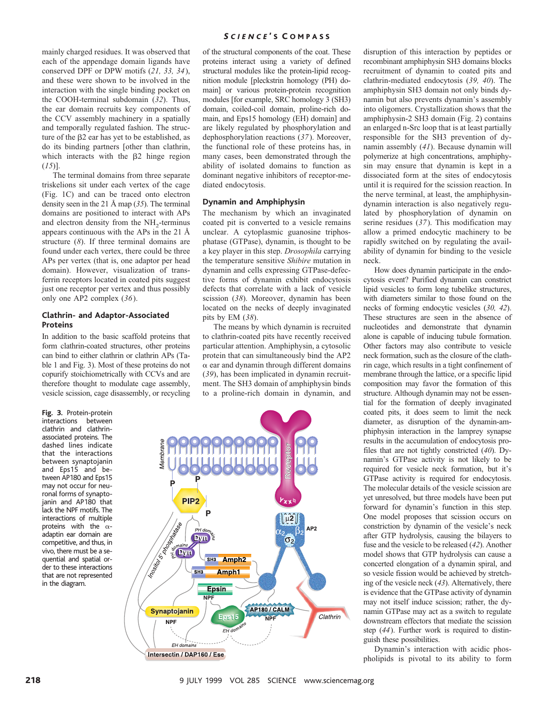mainly charged residues. It was observed that each of the appendage domain ligands have conserved DPF or DPW motifs (*21, 33, 34*), and these were shown to be involved in the interaction with the single binding pocket on the COOH-terminal subdomain (*32*). Thus, the ear domain recruits key components of the CCV assembly machinery in a spatially and temporally regulated fashion. The structure of the  $\beta$ 2 ear has yet to be established, as do its binding partners [other than clathrin, which interacts with the  $\beta$ 2 hinge region (*15*)].

The terminal domains from three separate triskelions sit under each vertex of the cage (Fig. 1C) and can be traced onto electron density seen in the 21 Å map (*35*). The terminal domains are positioned to interact with APs and electron density from the NH<sub>2</sub>-terminus appears continuous with the APs in the 21 Å structure (*8*). If three terminal domains are found under each vertex, there could be three APs per vertex (that is, one adaptor per head domain). However, visualization of transferrin receptors located in coated pits suggest just one receptor per vertex and thus possibly only one AP2 complex (*36*).

# **Clathrin- and Adaptor-Associated Proteins**

In addition to the basic scaffold proteins that form clathrin-coated structures, other proteins can bind to either clathrin or clathrin APs (Table 1 and Fig. 3). Most of these proteins do not copurify stoichiometrically with CCVs and are therefore thought to modulate cage assembly, vesicle scission, cage disassembly, or recycling

**Fig. 3.** Protein-protein<br>interactions between interactions clathrin and clathrinassociated proteins. The dashed lines indicate that the interactions between synaptojanin and Eps15 and between AP180 and Eps15 may not occur for neuronal forms of synaptojanin and AP180 that lack the NPF motifs. The interactions of multiple proteins with the  $\alpha$ adaptin ear domain are competitive, and thus, in vivo, there must be a sequential and spatial order to these interactions that are not represented in the diagram.

of the structural components of the coat. These proteins interact using a variety of defined structural modules like the protein-lipid recognition module [pleckstrin homology (PH) domain] or various protein-protein recognition modules [for example, SRC homology 3 (SH3) domain, coiled-coil domain, proline-rich domain, and Eps15 homology (EH) domain] and are likely regulated by phosphorylation and dephosphorylation reactions (*37*). Moreover, the functional role of these proteins has, in many cases, been demonstrated through the ability of isolated domains to function as dominant negative inhibitors of receptor-mediated endocytosis.

## **Dynamin and Amphiphysin**

The mechanism by which an invaginated coated pit is converted to a vesicle remains unclear. A cytoplasmic guanosine triphosphatase (GTPase), dynamin, is thought to be a key player in this step. *Drosophila* carrying the temperature sensitive *Shibire* mutation in dynamin and cells expressing GTPase-defective forms of dynamin exhibit endocytosis defects that correlate with a lack of vesicle scission (*38*). Moreover, dynamin has been located on the necks of deeply invaginated pits by EM (*38*).

The means by which dynamin is recruited to clathrin-coated pits have recently received particular attention. Amphiphysin, a cytosolic protein that can simultaneously bind the AP2  $\alpha$  ear and dynamin through different domains (*39*), has been implicated in dynamin recruitment. The SH3 domain of amphiphysin binds to a proline-rich domain in dynamin, and



disruption of this interaction by peptides or recombinant amphiphysin SH3 domains blocks recruitment of dynamin to coated pits and clathrin-mediated endocytosis (*39, 40*). The amphiphysin SH3 domain not only binds dynamin but also prevents dynamin's assembly into oligomers. Crystallization shows that the amphiphysin-2 SH3 domain (Fig. 2) contains an enlarged n-Src loop that is at least partially responsible for the SH3 prevention of dynamin assembly (*41*). Because dynamin will polymerize at high concentrations, amphiphysin may ensure that dynamin is kept in a dissociated form at the sites of endocytosis until it is required for the scission reaction. In the nerve terminal, at least, the amphiphysindynamin interaction is also negatively regulated by phosphorylation of dynamin on serine residues (*37*). This modification may allow a primed endocytic machinery to be rapidly switched on by regulating the availability of dynamin for binding to the vesicle neck.

How does dynamin participate in the endocytosis event? Purified dynamin can constrict lipid vesicles to form long tubelike structures, with diameters similar to those found on the necks of forming endocytic vesicles (*30, 42*). These structures are seen in the absence of nucleotides and demonstrate that dynamin alone is capable of inducing tubule formation. Other factors may also contribute to vesicle neck formation, such as the closure of the clathrin cage, which results in a tight confinement of membrane through the lattice, or a specific lipid composition may favor the formation of this structure. Although dynamin may not be essential for the formation of deeply invaginated coated pits, it does seem to limit the neck diameter, as disruption of the dynamin-amphiphysin interaction in the lamprey synapse results in the accumulation of endocytosis profiles that are not tightly constricted (*40*). Dynamin's GTPase activity is not likely to be required for vesicle neck formation, but it's GTPase activity is required for endocytosis. The molecular details of the vesicle scission are yet unresolved, but three models have been put forward for dynamin's function in this step. One model proposes that scission occurs on constriction by dynamin of the vesicle's neck after GTP hydrolysis, causing the bilayers to fuse and the vesicle to be released (*42*). Another model shows that GTP hydrolysis can cause a concerted elongation of a dynamin spiral, and so vesicle fission would be achieved by stretching of the vesicle neck (*43*). Alternatively, there is evidence that the GTPase activity of dynamin may not itself induce scission; rather, the dynamin GTPase may act as a switch to regulate downstream effectors that mediate the scission step (*44*). Further work is required to distinguish these possibilities.

Dynamin's interaction with acidic phospholipids is pivotal to its ability to form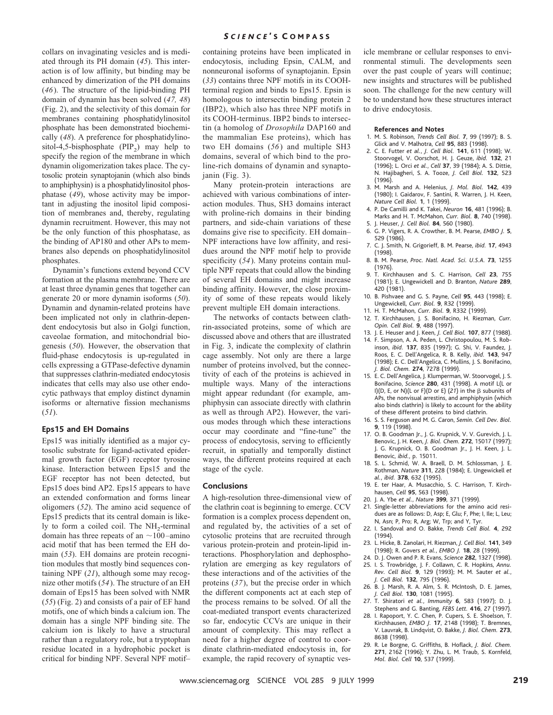collars on invaginating vesicles and is mediated through its PH domain (*45*). This interaction is of low affinity, but binding may be enhanced by dimerization of the PH domains (*46*). The structure of the lipid-binding PH domain of dynamin has been solved (*47, 48*) (Fig. 2), and the selectivity of this domain for membranes containing phosphatidylinositol phosphate has been demonstrated biochemically (*48*). A preference for phosphatidylinositol-4,5-bisphosphate (PIP<sub>2</sub>) may help to specify the region of the membrane in which dynamin oligomerization takes place. The cytosolic protein synaptojanin (which also binds to amphiphysin) is a phosphatidylinositol phosphatase (*49*), whose activity may be important in adjusting the inositol lipid composition of membranes and, thereby, regulating dynamin recruitment. However, this may not be the only function of this phosphatase, as the binding of AP180 and other APs to membranes also depends on phosphatidylinositol phosphates.

Dynamin's functions extend beyond CCV formation at the plasma membrane. There are at least three dynamin genes that together can generate 20 or more dynamin isoforms (*50*). Dynamin and dynamin-related proteins have been implicated not only in clathrin-dependent endocytosis but also in Golgi function, caveolae formation, and mitochondrial biogenesis (*50*). However, the observation that fluid-phase endocytosis is up-regulated in cells expressing a GTPase-defective dynamin that suppresses clathrin-mediated endocytosis indicates that cells may also use other endocytic pathways that employ distinct dynamin isoforms or alternative fission mechanisms (*51*).

#### **Eps15 and EH Domains**

Eps15 was initially identified as a major cytosolic substrate for ligand-activated epidermal growth factor (EGF) receptor tyrosine kinase. Interaction between Eps15 and the EGF receptor has not been detected, but Eps15 does bind AP2. Eps15 appears to have an extended conformation and forms linear oligomers (*52*). The amino acid sequence of Eps15 predicts that its central domain is likely to form a coiled coil. The NH<sub>2</sub>-terminal domain has three repeats of an  $\sim$ 100–amino acid motif that has been termed the EH domain (*53*). EH domains are protein recognition modules that mostly bind sequences containing NPF (*21*), although some may recognize other motifs (*54*). The structure of an EH domain of Eps15 has been solved with NMR (*55*) (Fig. 2) and consists of a pair of EF hand motifs, one of which binds a calcium ion. The domain has a single NPF binding site. The calcium ion is likely to have a structural rather than a regulatory role, but a tryptophan residue located in a hydrophobic pocket is critical for binding NPF. Several NPF motif–

### *S CIENCE* ' S C OMPASS

containing proteins have been implicated in endocytosis, including Epsin, CALM, and nonneuronal isoforms of synaptojanin. Epsin (*33*) contains three NPF motifs in its COOHterminal region and binds to Eps15. Epsin is homologous to intersectin binding protein 2 (IBP2), which also has three NPF motifs in its COOH-terminus. IBP2 binds to intersectin (a homolog of *Drosophila* DAP160 and the mammalian Ese proteins), which has two EH domains (*56*) and multiple SH3 domains, several of which bind to the proline-rich domains of dynamin and synaptojanin (Fig. 3).

Many protein-protein interactions are achieved with various combinations of interaction modules. Thus, SH3 domains interact with proline-rich domains in their binding partners, and side-chain variations of these domains give rise to specificity. EH domain– NPF interactions have low affinity, and residues around the NPF motif help to provide specificity (*54*). Many proteins contain multiple NPF repeats that could allow the binding of several EH domains and might increase binding affinity. However, the close proximity of some of these repeats would likely prevent multiple EH domain interactions.

The networks of contacts between clathrin-associated proteins, some of which are discussed above and others that are illustrated in Fig. 3, indicate the complexity of clathrin cage assembly. Not only are there a large number of proteins involved, but the connectivity of each of the proteins is achieved in multiple ways. Many of the interactions might appear redundant (for example, amphiphysin can associate directly with clathrin as well as through AP2). However, the various modes through which these interactions occur may coordinate and "fine-tune" the process of endocytosis, serving to efficiently recruit, in spatially and temporally distinct ways, the different proteins required at each stage of the cycle.

# **Conclusions**

A high-resolution three-dimensional view of the clathrin coat is beginning to emerge. CCV formation is a complex process dependent on, and regulated by, the activities of a set of cytosolic proteins that are recruited through various protein-protein and protein-lipid interactions. Phosphorylation and dephosphorylation are emerging as key regulators of these interactions and of the activities of the proteins (*37*), but the precise order in which the different components act at each step of the process remains to be solved. Of all the coat-mediated transport events characterized so far, endocytic CCVs are unique in their amount of complexity. This may reflect a need for a higher degree of control to coordinate clathrin-mediated endocytosis in, for example, the rapid recovery of synaptic vesicle membrane or cellular responses to environmental stimuli. The developments seen over the past couple of years will continue; new insights and structures will be published soon. The challenge for the new century will be to understand how these structures interact to drive endocytosis.

#### **References and Notes**

- 1. M. S. Robinson, *Trends Cell Biol.* **7**, 99 (1997); B. S. Glick and V. Malhotra, *Cell* **95**, 883 (1998).
- 2. C. E. Futter *et al.*, *J. Cell Biol.* **141**, 611 (1998); W. Stoorvogel, V. Oorschot, H. J. Geuze, *ibid.* **132**, 21 (1996); L. Orci *et al.*, *Cell* **37**, 39 (1984); A. S. Dittie, N. Hajibagheri, S. A. Tooze, *J. Cell Biol.* **132**, 523 (1996).
- 3. M. Marsh and A. Helenius, *J. Mol. Biol.* **142**, 439 (1980); I. Gaidarov, F. Santini, R. Warren, J. H. Keen, *Nature Cell Biol.* **1**, 1 (1999).
- 4. P. De Camilli and K. Takei, *Neuron* **16**, 481 (1996); B. Marks and H. T. McMahon, *Curr. Biol.* **8**, 740 (1998).
- 5. J. Heuser, *J. Cell Biol.* **84**, 560 (1980). 6. G. P. Vigers, R. A. Crowther, B. M. Pearse, *EMBO J.* **5**,
- 529 (1986). 7. C. J. Smith, N. Grigorieff, B. M. Pearse, *ibid.* **17**, 4943 (1998).
- 8. B. M. Pearse, *Proc. Natl. Acad. Sci. U.S.A.* **73**, 1255 (1976).
- 9. T. Kirchhausen and S. C. Harrison, *Cell* **23**, 755 (1981); E. Ungewickell and D. Branton, *Nature* **289**, 420 (1981).
- 10. B. Pishvaee and G. S. Payne, *Cell* **95**, 443 (1998); E. Ungewickell, *Curr. Biol.* **9**, R32 (1999).
- 11. H. T. McMahon, *Curr. Biol.* **9**, R332 (1999). 12. T. Kirchhausen, J. S. Bonifacino, H. Riezman, *Curr.*
- *Opin. Cell Biol.* **9**, 488 (1997).
- 13. J. E. Heuser and J. Keen, *J. Cell Biol.* **107**, 877 (1988). 14. F. Simpson, A. A. Peden, L. Christopoulou, M. S. Robinson, *ibid.* **137**, 835 (1997); G. Shi, V. Faundez, J. Roos, E. C. Dell'Angelica, R. B. Kelly, *ibid.* **143**, 947 (1998); E. C. Dell'Angelica, C. Mullins, J. S. Bonifacino, *J. Biol. Chem.* **274**, 7278 (1999).
- 15. E. C. Dell'Angelica, J. Klumperman, W. Stoorvogel, J. S. Bonifacino, *Science* **280**, 431 (1998). A motif L(L or I)(D, E, or N)(L or F)(D or E) (21) in the  $\beta$  subunits of APs, the nonvisual arrestins, and amphiphysin (which also binds clathrin) is likely to account for the ability of these different proteins to bind clathrin.
- 16. S. S. Ferguson and M. G. Caron, *Semin. Cell Dev. Biol.* **9**, 119 (1998).
- 17. O. B. Goodman Jr., J. G. Krupnick, V. V. Gurevich, J. L. Benovic, J. H. Keen, *J. Biol. Chem.* **272**, 15017 (1997); J. G. Krupnick, O. B. Goodman Jr., J. H. Keen, J. L. Benovic, *ibid.*, p. 15011.
- 18. S. L. Schmid, W. A. Braell, D. M. Schlossman, J. E. Rothman, *Nature* **311**, 228 (1984); E. Ungewickell *et al.*, *ibid.* **378**, 632 (1995).
- 19. E. ter Haar, A. Musacchio, S. C. Harrison, T. Kirchhausen, *Cell* **95**, 563 (1998).
- 20. J. A. Ybe *et al.*, *Nature* **399**, 371 (1999).
- 21. Single-letter abbreviations for the amino acid residues are as follows: D, Asp; E, Glu; F, Phe; I, Ile; L, Leu; N, Asn; P, Pro; R, Arg; W, Trp; and Y, Tyr.
- 22. I. Sandoval and O. Bakke, *Trends Cell Biol.* **4**, 292 (1994).
- 23. L. Hicke, B. Zanolari, H. Riezman, *J. Cell Biol.* **141**, 349 (1998); R. Govers *et al.*, *EMBO J.* **18**, 28 (1999).
- 24. D. J. Owen and P. R. Evans, *Science* **282**, 1327 (1998). 25. I. S. Trowbridge, J. F. Collawn, C. R. Hopkins, *Annu.*
- *Rev. Cell Biol.* **9**, 129 (1993); M. M. Sauter *et al.*, *J. Cell Biol.* **132**, 795 (1996). 26. B. J. Marsh, R. A. Alm, S. R. McIntosh, D. E. James,
- *J. Cell Biol.* **130**, 1081 (1995). 27. T. Shiratori *et al.*, *Immunity* **6**, 583 (1997); D. J.
- Stephens and G. Banting, *FEBS Lett.* **416**, 27 (1997). 28. I. Rapoport, Y. C. Chen, P. Cupers, S. E. Shoelson, T. Kirchhausen, *EMBO J.* **17**, 2148 (1998); T. Bremnes, V. Lauvrak, B. Lindqvist, O. Bakke, *J. Biol. Chem.* **273**,
- 8638 (1998). 29. R. Le Borgne, G. Griffiths, B. Hoflack, *J. Biol. Chem.* **271**, 2162 (1996); Y. Zhu, L. M. Traub, S. Kornfeld, *Mol. Biol. Cell* **10**, 537 (1999).